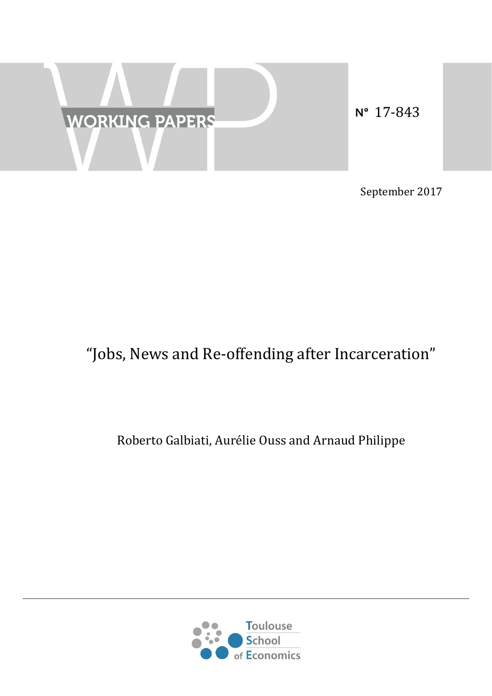

N° 17-843

September 2017

# "Jobs, News and Re-offending after Incarceration"

# Roberto Galbiati, Aurélie Ouss and Arnaud Philippe

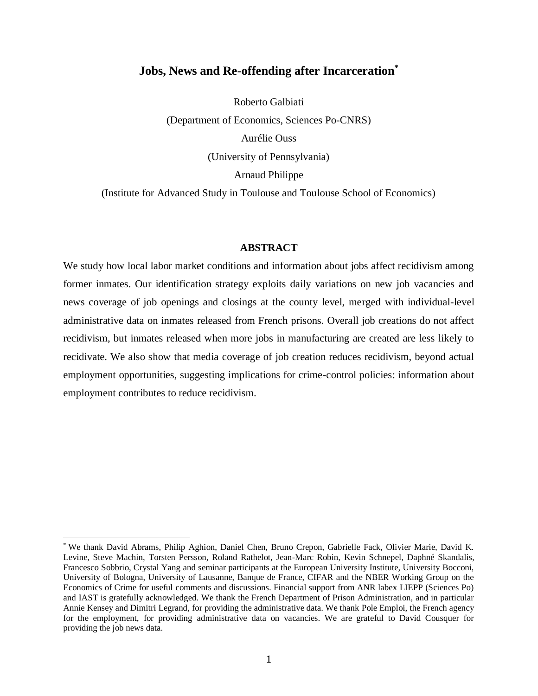# **Jobs, News and Re-offending after Incarceration\***

Roberto Galbiati (Department of Economics, Sciences Po-CNRS) Aurélie Ouss (University of Pennsylvania) Arnaud Philippe (Institute for Advanced Study in Toulouse and Toulouse School of Economics)

#### **ABSTRACT**

We study how local labor market conditions and information about jobs affect recidivism among former inmates. Our identification strategy exploits daily variations on new job vacancies and news coverage of job openings and closings at the county level, merged with individual-level administrative data on inmates released from French prisons. Overall job creations do not affect recidivism, but inmates released when more jobs in manufacturing are created are less likely to recidivate. We also show that media coverage of job creation reduces recidivism, beyond actual employment opportunities, suggesting implications for crime-control policies: information about employment contributes to reduce recidivism.

<sup>\*</sup> We thank David Abrams, Philip Aghion, Daniel Chen, Bruno Crepon, Gabrielle Fack, Olivier Marie, David K. Levine, Steve Machin, Torsten Persson, Roland Rathelot, Jean-Marc Robin, Kevin Schnepel, Daphné Skandalis, Francesco Sobbrio, Crystal Yang and seminar participants at the European University Institute, University Bocconi, University of Bologna, University of Lausanne, Banque de France, CIFAR and the NBER Working Group on the Economics of Crime for useful comments and discussions. Financial support from ANR labex LIEPP (Sciences Po) and IAST is gratefully acknowledged. We thank the French Department of Prison Administration, and in particular Annie Kensey and Dimitri Legrand, for providing the administrative data. We thank Pole Emploi, the French agency for the employment, for providing administrative data on vacancies. We are grateful to David Cousquer for providing the job news data.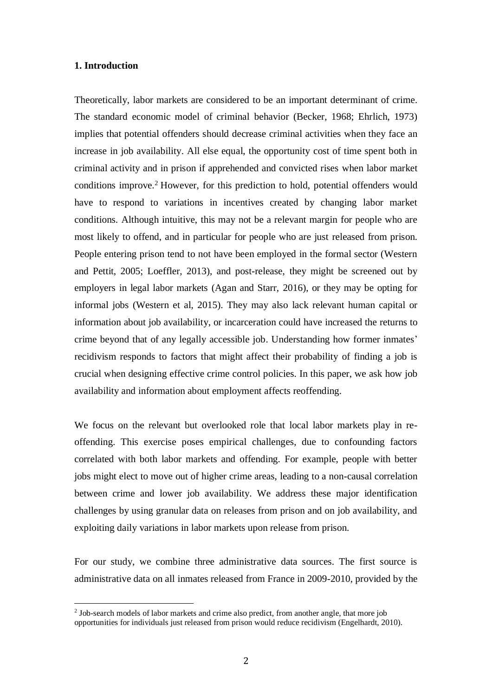# **1. Introduction**

 $\overline{a}$ 

Theoretically, labor markets are considered to be an important determinant of crime. The standard economic model of criminal behavior (Becker, 1968; Ehrlich, 1973) implies that potential offenders should decrease criminal activities when they face an increase in job availability. All else equal, the opportunity cost of time spent both in criminal activity and in prison if apprehended and convicted rises when labor market conditions improve. <sup>2</sup> However, for this prediction to hold, potential offenders would have to respond to variations in incentives created by changing labor market conditions. Although intuitive, this may not be a relevant margin for people who are most likely to offend, and in particular for people who are just released from prison. People entering prison tend to not have been employed in the formal sector (Western and Pettit, 2005; Loeffler, 2013), and post-release, they might be screened out by employers in legal labor markets (Agan and Starr, 2016), or they may be opting for informal jobs (Western et al, 2015). They may also lack relevant human capital or information about job availability, or incarceration could have increased the returns to crime beyond that of any legally accessible job. Understanding how former inmates' recidivism responds to factors that might affect their probability of finding a job is crucial when designing effective crime control policies. In this paper, we ask how job availability and information about employment affects reoffending.

We focus on the relevant but overlooked role that local labor markets play in reoffending. This exercise poses empirical challenges, due to confounding factors correlated with both labor markets and offending. For example, people with better jobs might elect to move out of higher crime areas, leading to a non-causal correlation between crime and lower job availability. We address these major identification challenges by using granular data on releases from prison and on job availability, and exploiting daily variations in labor markets upon release from prison.

For our study, we combine three administrative data sources. The first source is administrative data on all inmates released from France in 2009-2010, provided by the

<sup>&</sup>lt;sup>2</sup> Job-search models of labor markets and crime also predict, from another angle, that more job opportunities for individuals just released from prison would reduce recidivism (Engelhardt, 2010).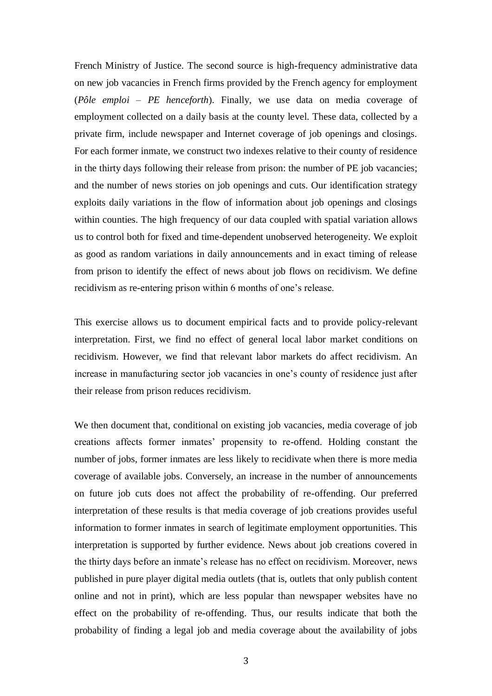French Ministry of Justice. The second source is high-frequency administrative data on new job vacancies in French firms provided by the French agency for employment (*Pôle emploi – PE henceforth*). Finally, we use data on media coverage of employment collected on a daily basis at the county level. These data, collected by a private firm, include newspaper and Internet coverage of job openings and closings. For each former inmate, we construct two indexes relative to their county of residence in the thirty days following their release from prison: the number of PE job vacancies; and the number of news stories on job openings and cuts. Our identification strategy exploits daily variations in the flow of information about job openings and closings within counties. The high frequency of our data coupled with spatial variation allows us to control both for fixed and time-dependent unobserved heterogeneity. We exploit as good as random variations in daily announcements and in exact timing of release from prison to identify the effect of news about job flows on recidivism. We define recidivism as re-entering prison within 6 months of one's release.

This exercise allows us to document empirical facts and to provide policy-relevant interpretation. First, we find no effect of general local labor market conditions on recidivism. However, we find that relevant labor markets do affect recidivism. An increase in manufacturing sector job vacancies in one's county of residence just after their release from prison reduces recidivism.

We then document that, conditional on existing job vacancies, media coverage of job creations affects former inmates' propensity to re-offend. Holding constant the number of jobs, former inmates are less likely to recidivate when there is more media coverage of available jobs. Conversely, an increase in the number of announcements on future job cuts does not affect the probability of re-offending. Our preferred interpretation of these results is that media coverage of job creations provides useful information to former inmates in search of legitimate employment opportunities. This interpretation is supported by further evidence. News about job creations covered in the thirty days before an inmate's release has no effect on recidivism. Moreover, news published in pure player digital media outlets (that is, outlets that only publish content online and not in print), which are less popular than newspaper websites have no effect on the probability of re-offending. Thus, our results indicate that both the probability of finding a legal job and media coverage about the availability of jobs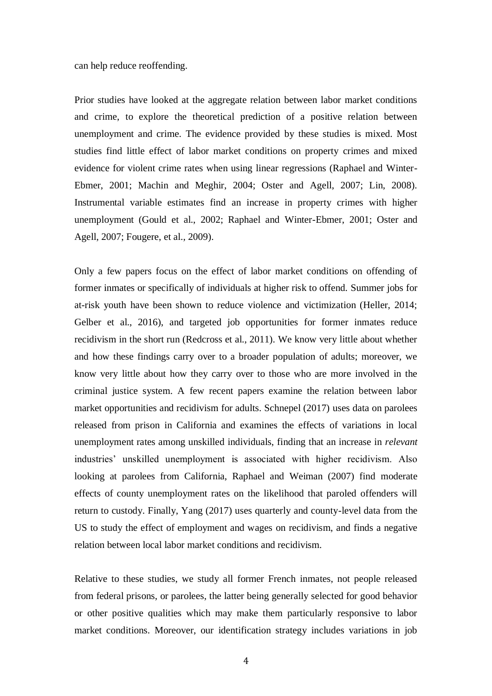can help reduce reoffending.

Prior studies have looked at the aggregate relation between labor market conditions and crime, to explore the theoretical prediction of a positive relation between unemployment and crime. The evidence provided by these studies is mixed. Most studies find little effect of labor market conditions on property crimes and mixed evidence for violent crime rates when using linear regressions (Raphael and Winter-Ebmer, 2001; Machin and Meghir, 2004; Oster and Agell, 2007; Lin, 2008). Instrumental variable estimates find an increase in property crimes with higher unemployment (Gould et al., 2002; Raphael and Winter-Ebmer, 2001; Oster and Agell, 2007; Fougere, et al., 2009).

Only a few papers focus on the effect of labor market conditions on offending of former inmates or specifically of individuals at higher risk to offend. Summer jobs for at-risk youth have been shown to reduce violence and victimization (Heller, 2014; Gelber et al., 2016), and targeted job opportunities for former inmates reduce recidivism in the short run (Redcross et al., 2011). We know very little about whether and how these findings carry over to a broader population of adults; moreover, we know very little about how they carry over to those who are more involved in the criminal justice system. A few recent papers examine the relation between labor market opportunities and recidivism for adults. Schnepel (2017) uses data on parolees released from prison in California and examines the effects of variations in local unemployment rates among unskilled individuals, finding that an increase in *relevant* industries' unskilled unemployment is associated with higher recidivism. Also looking at parolees from California, Raphael and Weiman (2007) find moderate effects of county unemployment rates on the likelihood that paroled offenders will return to custody. Finally, Yang (2017) uses quarterly and county-level data from the US to study the effect of employment and wages on recidivism, and finds a negative relation between local labor market conditions and recidivism.

Relative to these studies, we study all former French inmates, not people released from federal prisons, or parolees, the latter being generally selected for good behavior or other positive qualities which may make them particularly responsive to labor market conditions. Moreover, our identification strategy includes variations in job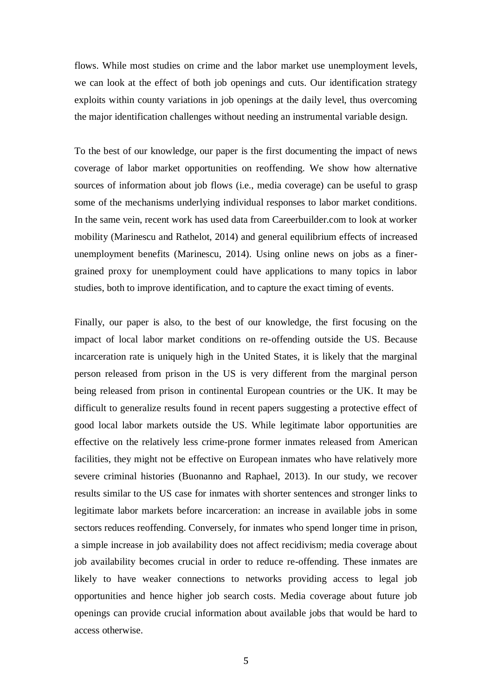flows. While most studies on crime and the labor market use unemployment levels, we can look at the effect of both job openings and cuts. Our identification strategy exploits within county variations in job openings at the daily level, thus overcoming the major identification challenges without needing an instrumental variable design.

To the best of our knowledge, our paper is the first documenting the impact of news coverage of labor market opportunities on reoffending. We show how alternative sources of information about job flows (i.e., media coverage) can be useful to grasp some of the mechanisms underlying individual responses to labor market conditions. In the same vein, recent work has used data from Careerbuilder.com to look at worker mobility (Marinescu and Rathelot, 2014) and general equilibrium effects of increased unemployment benefits (Marinescu, 2014). Using online news on jobs as a finergrained proxy for unemployment could have applications to many topics in labor studies, both to improve identification, and to capture the exact timing of events.

Finally, our paper is also, to the best of our knowledge, the first focusing on the impact of local labor market conditions on re-offending outside the US. Because incarceration rate is uniquely high in the United States, it is likely that the marginal person released from prison in the US is very different from the marginal person being released from prison in continental European countries or the UK. It may be difficult to generalize results found in recent papers suggesting a protective effect of good local labor markets outside the US. While legitimate labor opportunities are effective on the relatively less crime-prone former inmates released from American facilities, they might not be effective on European inmates who have relatively more severe criminal histories (Buonanno and Raphael, 2013). In our study, we recover results similar to the US case for inmates with shorter sentences and stronger links to legitimate labor markets before incarceration: an increase in available jobs in some sectors reduces reoffending. Conversely, for inmates who spend longer time in prison, a simple increase in job availability does not affect recidivism; media coverage about job availability becomes crucial in order to reduce re-offending. These inmates are likely to have weaker connections to networks providing access to legal job opportunities and hence higher job search costs. Media coverage about future job openings can provide crucial information about available jobs that would be hard to access otherwise.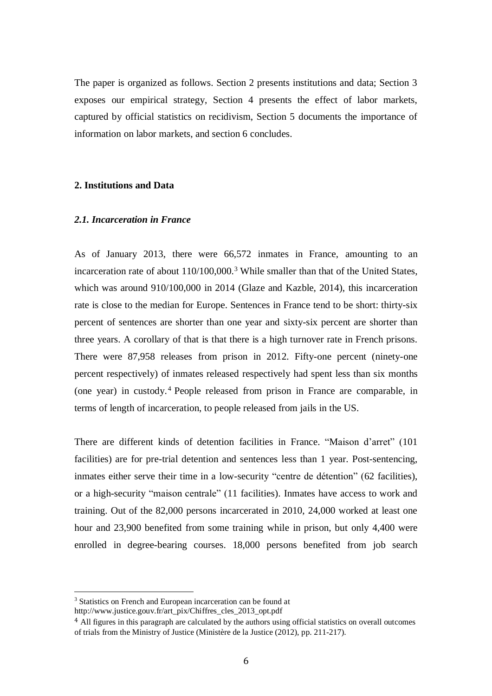The paper is organized as follows. Section 2 presents institutions and data; Section 3 exposes our empirical strategy, Section 4 presents the effect of labor markets, captured by official statistics on recidivism, Section 5 documents the importance of information on labor markets, and section 6 concludes.

# **2. Institutions and Data**

#### *2.1. Incarceration in France*

As of January 2013, there were 66,572 inmates in France, amounting to an incarceration rate of about 110/100,000.<sup>3</sup> While smaller than that of the United States, which was around 910/100,000 in 2014 (Glaze and Kazble, 2014), this incarceration rate is close to the median for Europe. Sentences in France tend to be short: thirty-six percent of sentences are shorter than one year and sixty-six percent are shorter than three years. A corollary of that is that there is a high turnover rate in French prisons. There were 87,958 releases from prison in 2012. Fifty-one percent (ninety-one percent respectively) of inmates released respectively had spent less than six months (one year) in custody. <sup>4</sup> People released from prison in France are comparable, in terms of length of incarceration, to people released from jails in the US.

There are different kinds of detention facilities in France. "Maison d'arret" (101 facilities) are for pre-trial detention and sentences less than 1 year. Post-sentencing, inmates either serve their time in a low-security "centre de détention" (62 facilities), or a high-security "maison centrale" (11 facilities). Inmates have access to work and training. Out of the 82,000 persons incarcerated in 2010, 24,000 worked at least one hour and 23,900 benefited from some training while in prison, but only 4,400 were enrolled in degree-bearing courses. 18,000 persons benefited from job search

<sup>3</sup> Statistics on French and European incarceration can be found at

http://www.justice.gouv.fr/art\_pix/Chiffres\_cles\_2013\_opt.pdf

<sup>4</sup> All figures in this paragraph are calculated by the authors using official statistics on overall outcomes of trials from the Ministry of Justice (Ministère de la Justice (2012), pp. 211-217).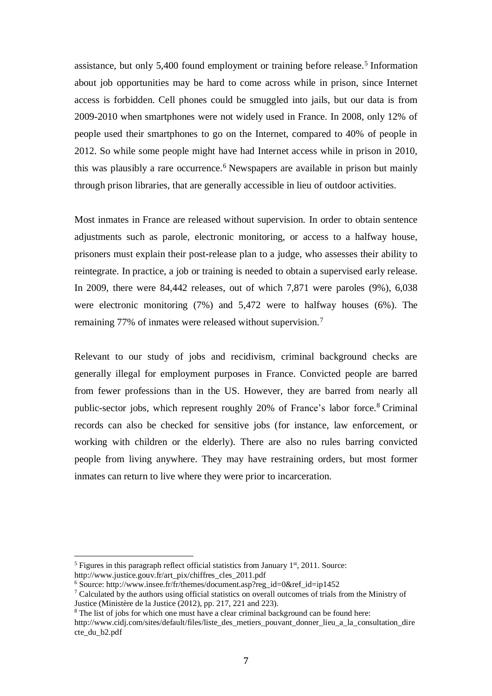assistance, but only 5,400 found employment or training before release.<sup>5</sup> Information about job opportunities may be hard to come across while in prison, since Internet access is forbidden. Cell phones could be smuggled into jails, but our data is from 2009-2010 when smartphones were not widely used in France. In 2008, only 12% of people used their smartphones to go on the Internet, compared to 40% of people in 2012. So while some people might have had Internet access while in prison in 2010, this was plausibly a rare occurrence.<sup>6</sup> Newspapers are available in prison but mainly through prison libraries, that are generally accessible in lieu of outdoor activities.

Most inmates in France are released without supervision. In order to obtain sentence adjustments such as parole, electronic monitoring, or access to a halfway house, prisoners must explain their post-release plan to a judge, who assesses their ability to reintegrate. In practice, a job or training is needed to obtain a supervised early release. In 2009, there were 84,442 releases, out of which 7,871 were paroles (9%), 6,038 were electronic monitoring (7%) and 5,472 were to halfway houses (6%). The remaining 77% of inmates were released without supervision.<sup>7</sup>

Relevant to our study of jobs and recidivism, criminal background checks are generally illegal for employment purposes in France. Convicted people are barred from fewer professions than in the US. However, they are barred from nearly all public-sector jobs, which represent roughly 20% of France's labor force.<sup>8</sup> Criminal records can also be checked for sensitive jobs (for instance, law enforcement, or working with children or the elderly). There are also no rules barring convicted people from living anywhere. They may have restraining orders, but most former inmates can return to live where they were prior to incarceration.

 $<sup>5</sup>$  Figures in this paragraph reflect official statistics from January  $1<sup>st</sup>$ , 2011. Source:</sup> http://www.justice.gouv.fr/art\_pix/chiffres\_cles\_2011.pdf

 $6$  Source: http://www.insee.fr/fr/themes/document.asp?reg\_id=0&ref\_id=ip1452

<sup>7</sup> Calculated by the authors using official statistics on overall outcomes of trials from the Ministry of Justice (Ministère de la Justice (2012), pp. 217, 221 and 223).

<sup>&</sup>lt;sup>8</sup> The list of jobs for which one must have a clear criminal background can be found here: http://www.cidj.com/sites/default/files/liste\_des\_metiers\_pouvant\_donner\_lieu\_a\_la\_consultation\_dire cte du b2.pdf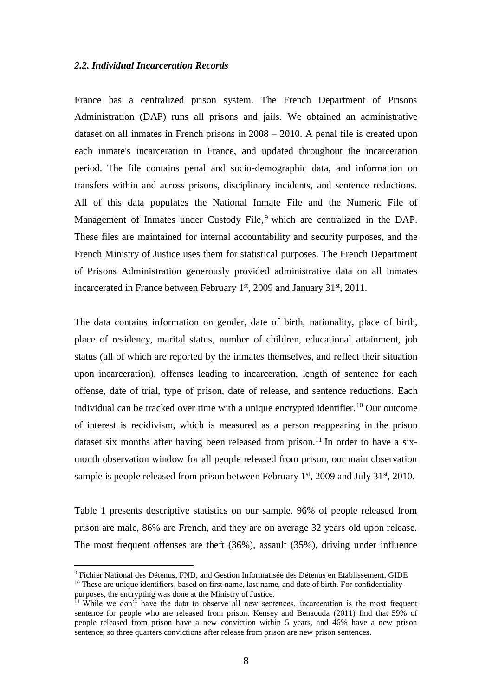#### *2.2. Individual Incarceration Records*

France has a centralized prison system. The French Department of Prisons Administration (DAP) runs all prisons and jails. We obtained an administrative dataset on all inmates in French prisons in 2008 – 2010. A penal file is created upon each inmate's incarceration in France, and updated throughout the incarceration period. The file contains penal and socio-demographic data, and information on transfers within and across prisons, disciplinary incidents, and sentence reductions. All of this data populates the National Inmate File and the Numeric File of Management of Inmates under Custody File,<sup>9</sup> which are centralized in the DAP. These files are maintained for internal accountability and security purposes, and the French Ministry of Justice uses them for statistical purposes. The French Department of Prisons Administration generously provided administrative data on all inmates incarcerated in France between February 1<sup>st</sup>, 2009 and January 31<sup>st</sup>, 2011.

The data contains information on gender, date of birth, nationality, place of birth, place of residency, marital status, number of children, educational attainment, job status (all of which are reported by the inmates themselves, and reflect their situation upon incarceration), offenses leading to incarceration, length of sentence for each offense, date of trial, type of prison, date of release, and sentence reductions. Each individual can be tracked over time with a unique encrypted identifier.<sup>10</sup> Our outcome of interest is recidivism, which is measured as a person reappearing in the prison dataset six months after having been released from prison.<sup>11</sup> In order to have a sixmonth observation window for all people released from prison, our main observation sample is people released from prison between February  $1<sup>st</sup>$ , 2009 and July 31 $<sup>st</sup>$ , 2010.</sup>

Table 1 presents descriptive statistics on our sample. 96% of people released from prison are male, 86% are French, and they are on average 32 years old upon release. The most frequent offenses are theft (36%), assault (35%), driving under influence

<sup>9</sup> Fichier National des Détenus, FND, and Gestion Informatisée des Détenus en Etablissement, GIDE  $10$  These are unique identifiers, based on first name, last name, and date of birth. For confidentiality purposes, the encrypting was done at the Ministry of Justice.

 $11$  While we don't have the data to observe all new sentences, incarceration is the most frequent sentence for people who are released from prison. Kensey and Benaouda (2011) find that 59% of people released from prison have a new conviction within 5 years, and 46% have a new prison sentence; so three quarters convictions after release from prison are new prison sentences.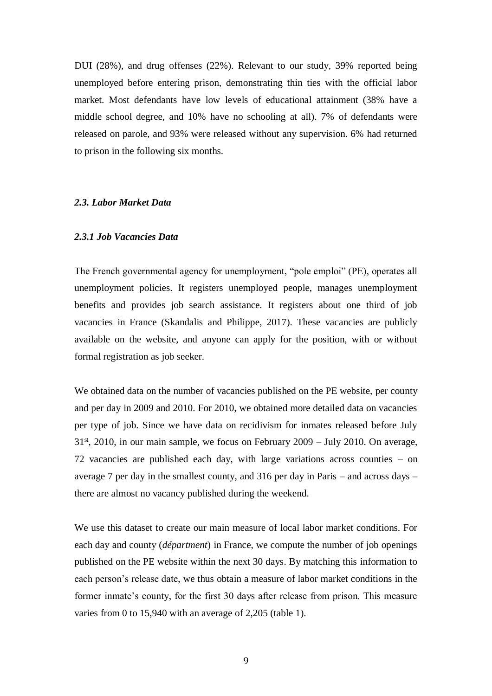DUI (28%), and drug offenses (22%). Relevant to our study, 39% reported being unemployed before entering prison, demonstrating thin ties with the official labor market. Most defendants have low levels of educational attainment (38% have a middle school degree, and 10% have no schooling at all). 7% of defendants were released on parole, and 93% were released without any supervision. 6% had returned to prison in the following six months.

#### *2.3. Labor Market Data*

#### *2.3.1 Job Vacancies Data*

The French governmental agency for unemployment, "pole emploi" (PE), operates all unemployment policies. It registers unemployed people, manages unemployment benefits and provides job search assistance. It registers about one third of job vacancies in France (Skandalis and Philippe, 2017). These vacancies are publicly available on the website, and anyone can apply for the position, with or without formal registration as job seeker.

We obtained data on the number of vacancies published on the PE website, per county and per day in 2009 and 2010. For 2010, we obtained more detailed data on vacancies per type of job. Since we have data on recidivism for inmates released before July  $31<sup>st</sup>$ , 2010, in our main sample, we focus on February 2009 – July 2010. On average, 72 vacancies are published each day, with large variations across counties – on average 7 per day in the smallest county, and 316 per day in Paris – and across days – there are almost no vacancy published during the weekend.

We use this dataset to create our main measure of local labor market conditions. For each day and county (*départment*) in France, we compute the number of job openings published on the PE website within the next 30 days. By matching this information to each person's release date, we thus obtain a measure of labor market conditions in the former inmate's county, for the first 30 days after release from prison. This measure varies from 0 to 15,940 with an average of 2,205 (table 1).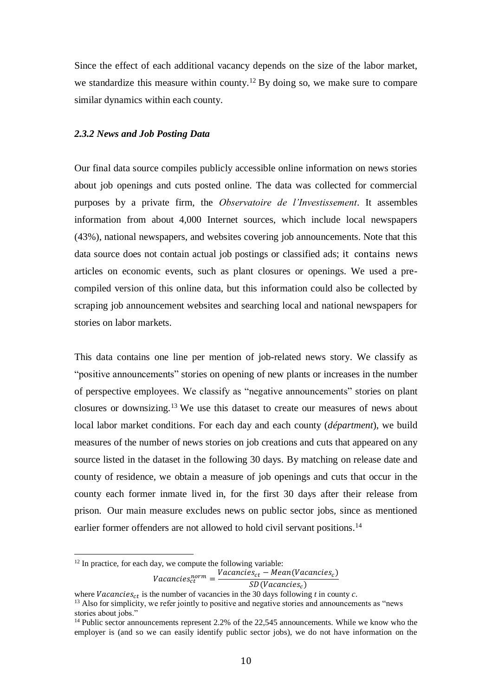Since the effect of each additional vacancy depends on the size of the labor market, we standardize this measure within county.<sup>12</sup> By doing so, we make sure to compare similar dynamics within each county.

#### *2.3.2 News and Job Posting Data*

Our final data source compiles publicly accessible online information on news stories about job openings and cuts posted online. The data was collected for commercial purposes by a private firm, the *Observatoire de l'Investissement*. It assembles information from about 4,000 Internet sources, which include local newspapers (43%), national newspapers, and websites covering job announcements. Note that this data source does not contain actual job postings or classified ads; it contains news articles on economic events, such as plant closures or openings. We used a precompiled version of this online data, but this information could also be collected by scraping job announcement websites and searching local and national newspapers for stories on labor markets.

This data contains one line per mention of job-related news story. We classify as "positive announcements" stories on opening of new plants or increases in the number of perspective employees. We classify as "negative announcements" stories on plant closures or downsizing.<sup>13</sup> We use this dataset to create our measures of news about local labor market conditions. For each day and each county (*départment*), we build measures of the number of news stories on job creations and cuts that appeared on any source listed in the dataset in the following 30 days. By matching on release date and county of residence, we obtain a measure of job openings and cuts that occur in the county each former inmate lived in, for the first 30 days after their release from prison. Our main measure excludes news on public sector jobs, since as mentioned earlier former offenders are not allowed to hold civil servant positions.<sup>14</sup>

 $12$  In practice, for each day, we compute the following variable: Vacancies $_{ct}^{norm} = \frac{Vacancies_{ct} - Mean(Vacancies_c)}{SD(Vacancies_c)}$  $SD(Vacancies_c)$ 

where *Vacancies*<sub>ct</sub> is the number of vacancies in the 30 days following *t* in county *c*.

<sup>&</sup>lt;sup>13</sup> Also for simplicity, we refer jointly to positive and negative stories and announcements as "news" stories about jobs."

<sup>&</sup>lt;sup>14</sup> Public sector announcements represent 2.2% of the 22,545 announcements. While we know who the employer is (and so we can easily identify public sector jobs), we do not have information on the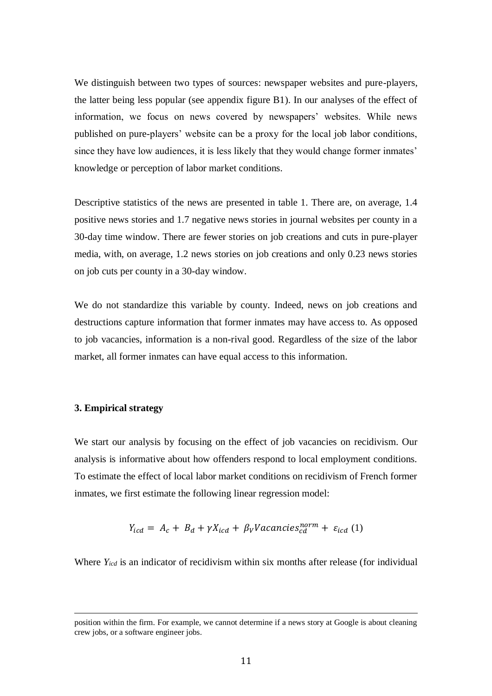We distinguish between two types of sources: newspaper websites and pure-players, the latter being less popular (see appendix figure B1). In our analyses of the effect of information, we focus on news covered by newspapers' websites. While news published on pure-players' website can be a proxy for the local job labor conditions, since they have low audiences, it is less likely that they would change former inmates' knowledge or perception of labor market conditions.

Descriptive statistics of the news are presented in table 1. There are, on average, 1.4 positive news stories and 1.7 negative news stories in journal websites per county in a 30-day time window. There are fewer stories on job creations and cuts in pure-player media, with, on average, 1.2 news stories on job creations and only 0.23 news stories on job cuts per county in a 30-day window.

We do not standardize this variable by county. Indeed, news on job creations and destructions capture information that former inmates may have access to. As opposed to job vacancies, information is a non-rival good. Regardless of the size of the labor market, all former inmates can have equal access to this information.

#### **3. Empirical strategy**

 $\overline{\phantom{a}}$ 

We start our analysis by focusing on the effect of job vacancies on recidivism. Our analysis is informative about how offenders respond to local employment conditions. To estimate the effect of local labor market conditions on recidivism of French former inmates, we first estimate the following linear regression model:

$$
Y_{icd} = A_c + B_d + \gamma X_{icd} + \beta_V Vacancies_{cd}^{norm} + \varepsilon_{icd} (1)
$$

Where *Yicd* is an indicator of recidivism within six months after release (for individual

position within the firm. For example, we cannot determine if a news story at Google is about cleaning crew jobs, or a software engineer jobs.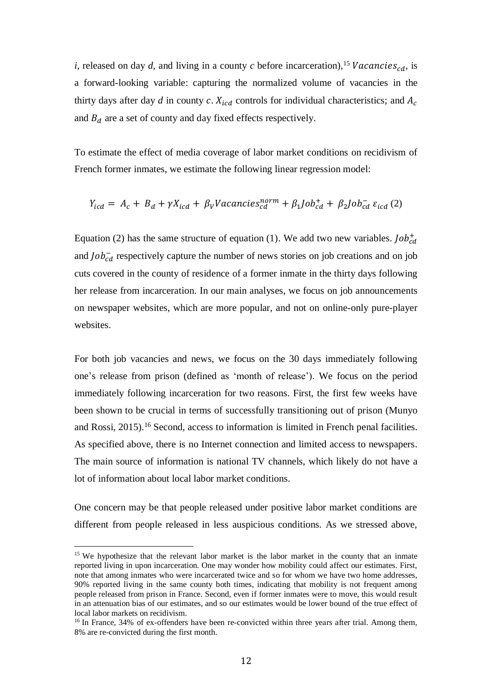*i*, released on day *d*, and living in a county *c* before incarceration),<sup>15</sup> *Vacancies<sub>cd</sub>*, is a forward-looking variable: capturing the normalized volume of vacancies in the thirty days after day *d* in county *c*.  $X_{icd}$  controls for individual characteristics; and  $A_c$ and  $B_d$  are a set of county and day fixed effects respectively.

To estimate the effect of media coverage of labor market conditions on recidivism of French former inmates, we estimate the following linear regression model:

$$
Y_{icd} = A_c + B_d + \gamma X_{icd} + \beta_V Vacancies_{cd}^{norm} + \beta_1 Job_{cd}^+ + \beta_2 Job_{cd}^- \varepsilon_{icd} (2)
$$

Equation (2) has the same structure of equation (1). We add two new variables.  $Job_{cd}^+$ and  $Job_{cd}^-$  respectively capture the number of news stories on job creations and on job cuts covered in the county of residence of a former inmate in the thirty days following her release from incarceration. In our main analyses, we focus on job announcements on newspaper websites, which are more popular, and not on online-only pure-player websites.

For both job vacancies and news, we focus on the 30 days immediately following one's release from prison (defined as 'month of release'). We focus on the period immediately following incarceration for two reasons. First, the first few weeks have been shown to be crucial in terms of successfully transitioning out of prison (Munyo and Rossi, 2015). <sup>16</sup> Second, access to information is limited in French penal facilities. As specified above, there is no Internet connection and limited access to newspapers. The main source of information is national TV channels, which likely do not have a lot of information about local labor market conditions.

One concern may be that people released under positive labor market conditions are different from people released in less auspicious conditions. As we stressed above,

<sup>&</sup>lt;sup>15</sup> We hypothesize that the relevant labor market is the labor market in the county that an inmate reported living in upon incarceration. One may wonder how mobility could affect our estimates. First, note that among inmates who were incarcerated twice and so for whom we have two home addresses, 90% reported living in the same county both times, indicating that mobility is not frequent among people released from prison in France. Second, even if former inmates were to move, this would result in an attenuation bias of our estimates, and so our estimates would be lower bound of the true effect of local labor markets on recidivism.

<sup>&</sup>lt;sup>16</sup> In France, 34% of ex-offenders have been re-convicted within three years after trial. Among them, 8% are re-convicted during the first month.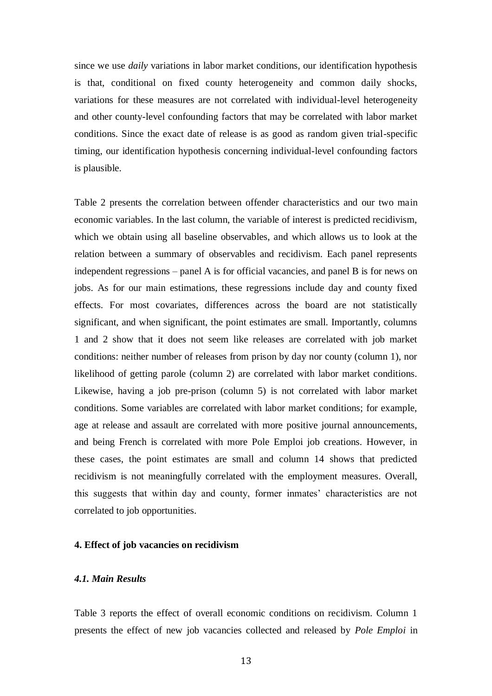since we use *daily* variations in labor market conditions, our identification hypothesis is that, conditional on fixed county heterogeneity and common daily shocks, variations for these measures are not correlated with individual-level heterogeneity and other county-level confounding factors that may be correlated with labor market conditions. Since the exact date of release is as good as random given trial-specific timing, our identification hypothesis concerning individual-level confounding factors is plausible.

Table 2 presents the correlation between offender characteristics and our two main economic variables. In the last column, the variable of interest is predicted recidivism, which we obtain using all baseline observables, and which allows us to look at the relation between a summary of observables and recidivism. Each panel represents independent regressions – panel A is for official vacancies, and panel B is for news on jobs. As for our main estimations, these regressions include day and county fixed effects. For most covariates, differences across the board are not statistically significant, and when significant, the point estimates are small. Importantly, columns 1 and 2 show that it does not seem like releases are correlated with job market conditions: neither number of releases from prison by day nor county (column 1), nor likelihood of getting parole (column 2) are correlated with labor market conditions. Likewise, having a job pre-prison (column 5) is not correlated with labor market conditions. Some variables are correlated with labor market conditions; for example, age at release and assault are correlated with more positive journal announcements, and being French is correlated with more Pole Emploi job creations. However, in these cases, the point estimates are small and column 14 shows that predicted recidivism is not meaningfully correlated with the employment measures. Overall, this suggests that within day and county, former inmates' characteristics are not correlated to job opportunities.

#### **4. Effect of job vacancies on recidivism**

# *4.1. Main Results*

Table 3 reports the effect of overall economic conditions on recidivism. Column 1 presents the effect of new job vacancies collected and released by *Pole Emploi* in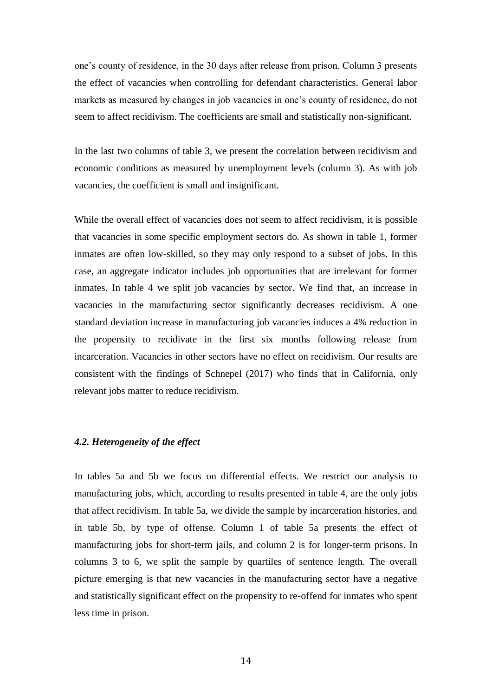one's county of residence, in the 30 days after release from prison. Column 3 presents the effect of vacancies when controlling for defendant characteristics. General labor markets as measured by changes in job vacancies in one's county of residence, do not seem to affect recidivism. The coefficients are small and statistically non-significant.

In the last two columns of table 3, we present the correlation between recidivism and economic conditions as measured by unemployment levels (column 3). As with job vacancies, the coefficient is small and insignificant.

While the overall effect of vacancies does not seem to affect recidivism, it is possible that vacancies in some specific employment sectors do. As shown in table 1, former inmates are often low-skilled, so they may only respond to a subset of jobs. In this case, an aggregate indicator includes job opportunities that are irrelevant for former inmates. In table 4 we split job vacancies by sector. We find that, an increase in vacancies in the manufacturing sector significantly decreases recidivism. A one standard deviation increase in manufacturing job vacancies induces a 4% reduction in the propensity to recidivate in the first six months following release from incarceration. Vacancies in other sectors have no effect on recidivism. Our results are consistent with the findings of Schnepel (2017) who finds that in California, only relevant jobs matter to reduce recidivism.

# *4.2. Heterogeneity of the effect*

In tables 5a and 5b we focus on differential effects. We restrict our analysis to manufacturing jobs, which, according to results presented in table 4, are the only jobs that affect recidivism. In table 5a, we divide the sample by incarceration histories, and in table 5b, by type of offense. Column 1 of table 5a presents the effect of manufacturing jobs for short-term jails, and column 2 is for longer-term prisons. In columns 3 to 6, we split the sample by quartiles of sentence length. The overall picture emerging is that new vacancies in the manufacturing sector have a negative and statistically significant effect on the propensity to re-offend for inmates who spent less time in prison.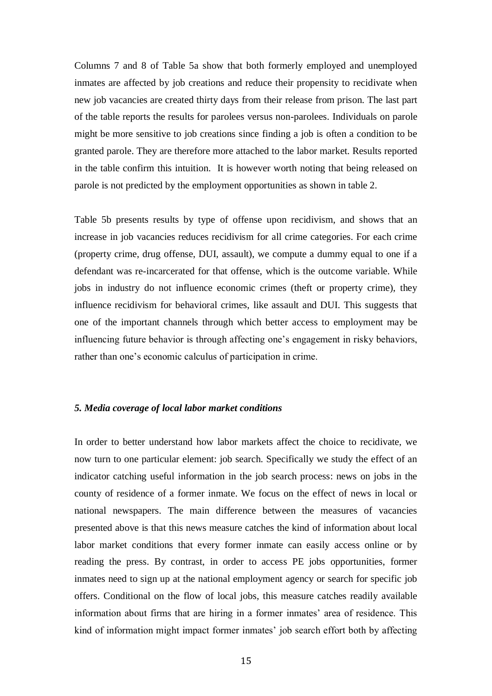Columns 7 and 8 of Table 5a show that both formerly employed and unemployed inmates are affected by job creations and reduce their propensity to recidivate when new job vacancies are created thirty days from their release from prison. The last part of the table reports the results for parolees versus non-parolees. Individuals on parole might be more sensitive to job creations since finding a job is often a condition to be granted parole. They are therefore more attached to the labor market. Results reported in the table confirm this intuition. It is however worth noting that being released on parole is not predicted by the employment opportunities as shown in table 2.

Table 5b presents results by type of offense upon recidivism, and shows that an increase in job vacancies reduces recidivism for all crime categories. For each crime (property crime, drug offense, DUI, assault), we compute a dummy equal to one if a defendant was re-incarcerated for that offense, which is the outcome variable. While jobs in industry do not influence economic crimes (theft or property crime), they influence recidivism for behavioral crimes, like assault and DUI. This suggests that one of the important channels through which better access to employment may be influencing future behavior is through affecting one's engagement in risky behaviors, rather than one's economic calculus of participation in crime.

# *5. Media coverage of local labor market conditions*

In order to better understand how labor markets affect the choice to recidivate, we now turn to one particular element: job search. Specifically we study the effect of an indicator catching useful information in the job search process: news on jobs in the county of residence of a former inmate. We focus on the effect of news in local or national newspapers. The main difference between the measures of vacancies presented above is that this news measure catches the kind of information about local labor market conditions that every former inmate can easily access online or by reading the press. By contrast, in order to access PE jobs opportunities, former inmates need to sign up at the national employment agency or search for specific job offers. Conditional on the flow of local jobs, this measure catches readily available information about firms that are hiring in a former inmates' area of residence. This kind of information might impact former inmates' job search effort both by affecting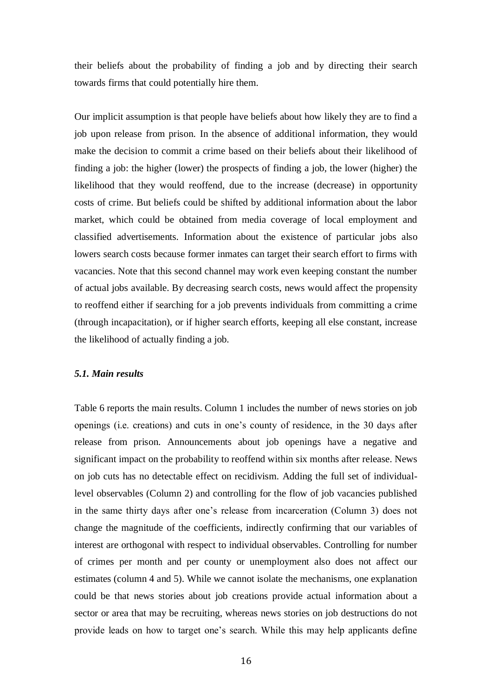their beliefs about the probability of finding a job and by directing their search towards firms that could potentially hire them.

Our implicit assumption is that people have beliefs about how likely they are to find a job upon release from prison. In the absence of additional information, they would make the decision to commit a crime based on their beliefs about their likelihood of finding a job: the higher (lower) the prospects of finding a job, the lower (higher) the likelihood that they would reoffend, due to the increase (decrease) in opportunity costs of crime. But beliefs could be shifted by additional information about the labor market, which could be obtained from media coverage of local employment and classified advertisements. Information about the existence of particular jobs also lowers search costs because former inmates can target their search effort to firms with vacancies. Note that this second channel may work even keeping constant the number of actual jobs available. By decreasing search costs, news would affect the propensity to reoffend either if searching for a job prevents individuals from committing a crime (through incapacitation), or if higher search efforts, keeping all else constant, increase the likelihood of actually finding a job.

#### *5.1. Main results*

Table 6 reports the main results. Column 1 includes the number of news stories on job openings (i.e. creations) and cuts in one's county of residence, in the 30 days after release from prison. Announcements about job openings have a negative and significant impact on the probability to reoffend within six months after release. News on job cuts has no detectable effect on recidivism. Adding the full set of individuallevel observables (Column 2) and controlling for the flow of job vacancies published in the same thirty days after one's release from incarceration (Column 3) does not change the magnitude of the coefficients, indirectly confirming that our variables of interest are orthogonal with respect to individual observables. Controlling for number of crimes per month and per county or unemployment also does not affect our estimates (column 4 and 5). While we cannot isolate the mechanisms, one explanation could be that news stories about job creations provide actual information about a sector or area that may be recruiting, whereas news stories on job destructions do not provide leads on how to target one's search. While this may help applicants define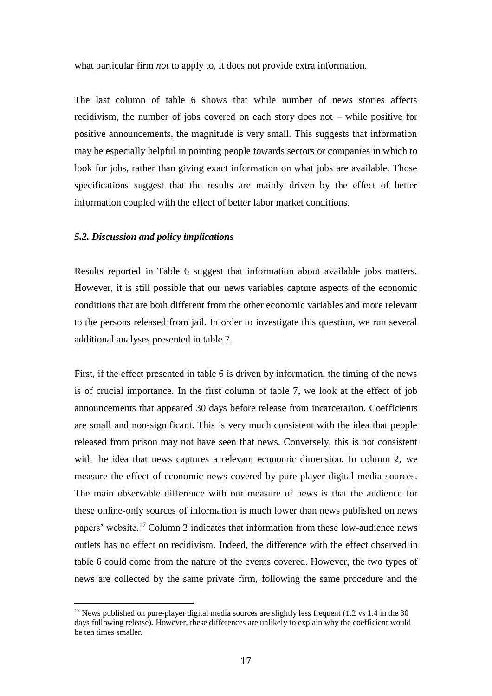what particular firm *not* to apply to, it does not provide extra information.

The last column of table 6 shows that while number of news stories affects recidivism, the number of jobs covered on each story does not – while positive for positive announcements, the magnitude is very small. This suggests that information may be especially helpful in pointing people towards sectors or companies in which to look for jobs, rather than giving exact information on what jobs are available. Those specifications suggest that the results are mainly driven by the effect of better information coupled with the effect of better labor market conditions.

# *5.2. Discussion and policy implications*

 $\overline{a}$ 

Results reported in Table 6 suggest that information about available jobs matters. However, it is still possible that our news variables capture aspects of the economic conditions that are both different from the other economic variables and more relevant to the persons released from jail. In order to investigate this question, we run several additional analyses presented in table 7.

First, if the effect presented in table 6 is driven by information, the timing of the news is of crucial importance. In the first column of table 7, we look at the effect of job announcements that appeared 30 days before release from incarceration. Coefficients are small and non-significant. This is very much consistent with the idea that people released from prison may not have seen that news. Conversely, this is not consistent with the idea that news captures a relevant economic dimension. In column 2, we measure the effect of economic news covered by pure-player digital media sources. The main observable difference with our measure of news is that the audience for these online-only sources of information is much lower than news published on news papers' website. <sup>17</sup> Column 2 indicates that information from these low-audience news outlets has no effect on recidivism. Indeed, the difference with the effect observed in table 6 could come from the nature of the events covered. However, the two types of news are collected by the same private firm, following the same procedure and the

<sup>&</sup>lt;sup>17</sup> News published on pure-player digital media sources are slightly less frequent (1.2 vs 1.4 in the 30 days following release). However, these differences are unlikely to explain why the coefficient would be ten times smaller.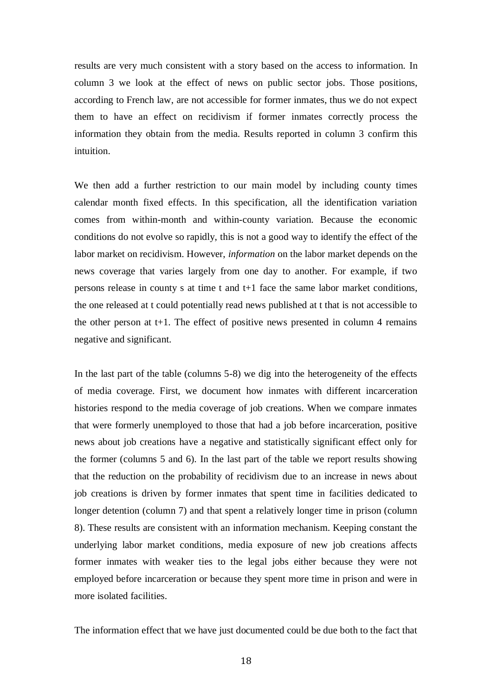results are very much consistent with a story based on the access to information. In column 3 we look at the effect of news on public sector jobs. Those positions, according to French law, are not accessible for former inmates, thus we do not expect them to have an effect on recidivism if former inmates correctly process the information they obtain from the media. Results reported in column 3 confirm this intuition.

We then add a further restriction to our main model by including county times calendar month fixed effects. In this specification, all the identification variation comes from within-month and within-county variation. Because the economic conditions do not evolve so rapidly, this is not a good way to identify the effect of the labor market on recidivism. However, *information* on the labor market depends on the news coverage that varies largely from one day to another. For example, if two persons release in county s at time t and t+1 face the same labor market conditions, the one released at t could potentially read news published at t that is not accessible to the other person at  $t+1$ . The effect of positive news presented in column 4 remains negative and significant.

In the last part of the table (columns 5-8) we dig into the heterogeneity of the effects of media coverage. First, we document how inmates with different incarceration histories respond to the media coverage of job creations. When we compare inmates that were formerly unemployed to those that had a job before incarceration, positive news about job creations have a negative and statistically significant effect only for the former (columns 5 and 6). In the last part of the table we report results showing that the reduction on the probability of recidivism due to an increase in news about job creations is driven by former inmates that spent time in facilities dedicated to longer detention (column 7) and that spent a relatively longer time in prison (column 8). These results are consistent with an information mechanism. Keeping constant the underlying labor market conditions, media exposure of new job creations affects former inmates with weaker ties to the legal jobs either because they were not employed before incarceration or because they spent more time in prison and were in more isolated facilities.

The information effect that we have just documented could be due both to the fact that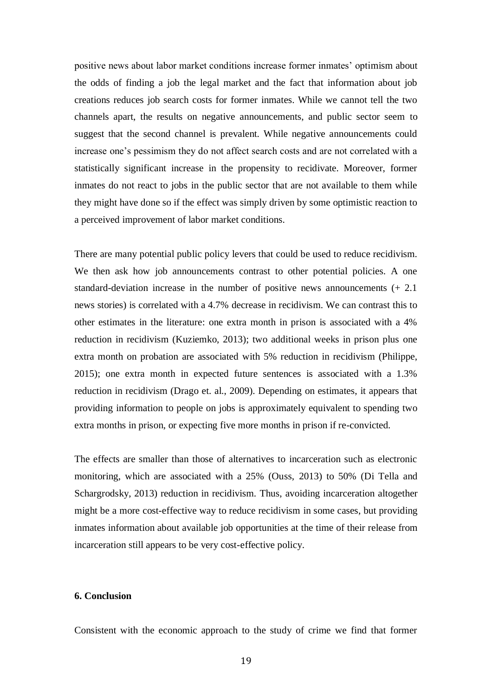positive news about labor market conditions increase former inmates' optimism about the odds of finding a job the legal market and the fact that information about job creations reduces job search costs for former inmates. While we cannot tell the two channels apart, the results on negative announcements, and public sector seem to suggest that the second channel is prevalent. While negative announcements could increase one's pessimism they do not affect search costs and are not correlated with a statistically significant increase in the propensity to recidivate. Moreover, former inmates do not react to jobs in the public sector that are not available to them while they might have done so if the effect was simply driven by some optimistic reaction to a perceived improvement of labor market conditions.

There are many potential public policy levers that could be used to reduce recidivism. We then ask how job announcements contrast to other potential policies. A one standard-deviation increase in the number of positive news announcements (+ 2.1 news stories) is correlated with a 4.7% decrease in recidivism. We can contrast this to other estimates in the literature: one extra month in prison is associated with a 4% reduction in recidivism (Kuziemko, 2013); two additional weeks in prison plus one extra month on probation are associated with 5% reduction in recidivism (Philippe, 2015); one extra month in expected future sentences is associated with a 1.3% reduction in recidivism (Drago et. al., 2009). Depending on estimates, it appears that providing information to people on jobs is approximately equivalent to spending two extra months in prison, or expecting five more months in prison if re-convicted.

The effects are smaller than those of alternatives to incarceration such as electronic monitoring, which are associated with a 25% (Ouss, 2013) to 50% (Di Tella and Schargrodsky, 2013) reduction in recidivism. Thus, avoiding incarceration altogether might be a more cost-effective way to reduce recidivism in some cases, but providing inmates information about available job opportunities at the time of their release from incarceration still appears to be very cost-effective policy.

### **6. Conclusion**

Consistent with the economic approach to the study of crime we find that former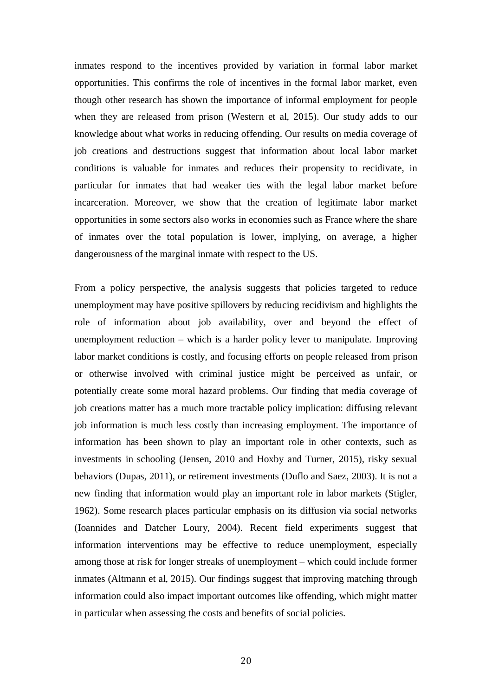inmates respond to the incentives provided by variation in formal labor market opportunities. This confirms the role of incentives in the formal labor market, even though other research has shown the importance of informal employment for people when they are released from prison (Western et al, 2015). Our study adds to our knowledge about what works in reducing offending. Our results on media coverage of job creations and destructions suggest that information about local labor market conditions is valuable for inmates and reduces their propensity to recidivate, in particular for inmates that had weaker ties with the legal labor market before incarceration. Moreover, we show that the creation of legitimate labor market opportunities in some sectors also works in economies such as France where the share of inmates over the total population is lower, implying, on average, a higher dangerousness of the marginal inmate with respect to the US.

From a policy perspective, the analysis suggests that policies targeted to reduce unemployment may have positive spillovers by reducing recidivism and highlights the role of information about job availability, over and beyond the effect of unemployment reduction – which is a harder policy lever to manipulate. Improving labor market conditions is costly, and focusing efforts on people released from prison or otherwise involved with criminal justice might be perceived as unfair, or potentially create some moral hazard problems. Our finding that media coverage of job creations matter has a much more tractable policy implication: diffusing relevant job information is much less costly than increasing employment. The importance of information has been shown to play an important role in other contexts, such as investments in schooling (Jensen, 2010 and Hoxby and Turner, 2015), risky sexual behaviors (Dupas, 2011), or retirement investments (Duflo and Saez, 2003). It is not a new finding that information would play an important role in labor markets (Stigler, 1962). Some research places particular emphasis on its diffusion via social networks (Ioannides and Datcher Loury, 2004). Recent field experiments suggest that information interventions may be effective to reduce unemployment, especially among those at risk for longer streaks of unemployment – which could include former inmates (Altmann et al, 2015). Our findings suggest that improving matching through information could also impact important outcomes like offending, which might matter in particular when assessing the costs and benefits of social policies.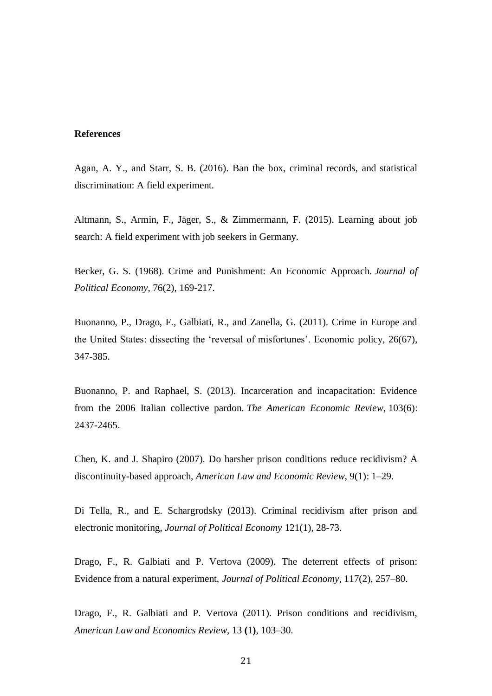# **References**

Agan, A. Y., and Starr, S. B. (2016). Ban the box, criminal records, and statistical discrimination: A field experiment.

Altmann, S., Armin, F., Jäger, S., & Zimmermann, F. (2015). Learning about job search: A field experiment with job seekers in Germany.

Becker, G. S. (1968). Crime and Punishment: An Economic Approach. *Journal of Political Economy*, 76(2), 169-217.

Buonanno, P., Drago, F., Galbiati, R., and Zanella, G. (2011). Crime in Europe and the United States: dissecting the 'reversal of misfortunes'. Economic policy, 26(67), 347-385.

Buonanno, P. and Raphael, S. (2013). Incarceration and incapacitation: Evidence from the 2006 Italian collective pardon. *The American Economic Review*, 103(6): 2437-2465.

Chen, K. and J. Shapiro (2007). Do harsher prison conditions reduce recidivism? A discontinuity-based approach, *American Law and Economic Review*, 9(1): 1–29.

Di Tella, R., and E. Schargrodsky (2013). Criminal recidivism after prison and electronic monitoring, *Journal of Political Economy* 121(1), 28-73.

Drago, F., R. Galbiati and P. Vertova (2009). The deterrent effects of prison: Evidence from a natural experiment, *Journal of Political Economy*, 117(2), 257–80.

Drago, F., R. Galbiati and P. Vertova (2011). Prison conditions and recidivism, *American Law and Economics Review*, 13 **(**1**)**, 103–30.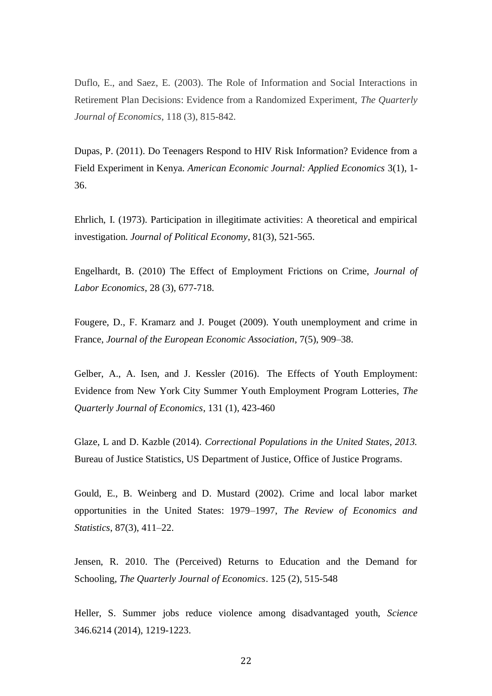Duflo, E., and Saez, E. (2003). The Role of Information and Social Interactions in Retirement Plan Decisions: Evidence from a Randomized Experiment, *The Quarterly Journal of Economics*, 118 (3), 815-842.

Dupas, P. (2011). Do Teenagers Respond to HIV Risk Information? Evidence from a Field Experiment in Kenya. *American Economic Journal: Applied Economics* 3(1), 1- 36.

Ehrlich, I. (1973). Participation in illegitimate activities: A theoretical and empirical investigation. *Journal of Political Economy*, 81(3), 521-565.

Engelhardt, B. (2010) The Effect of Employment Frictions on Crime, *Journal of Labor Economics*, 28 (3), 677-718.

Fougere, D., F. Kramarz and J. Pouget (2009). Youth unemployment and crime in France, *Journal of the European Economic Association*, 7(5), 909–38.

Gelber, A., A. Isen, and J. Kessler (2016). The Effects of Youth Employment: Evidence from New York City Summer Youth Employment Program Lotteries, *The Quarterly Journal of Economics*, 131 (1), 423-460

Glaze, L and D. Kazble (2014). *Correctional Populations in the United States, 2013.* Bureau of Justice Statistics, US Department of Justice, Office of Justice Programs.

Gould, E., B. Weinberg and D. Mustard (2002). Crime and local labor market opportunities in the United States: 1979–1997, *The Review of Economics and Statistics*, 87(3), 411–22.

Jensen, R. 2010. The (Perceived) Returns to Education and the Demand for Schooling, *The Quarterly Journal of Economics*. 125 (2), 515-548

Heller, S. Summer jobs reduce violence among disadvantaged youth, *Science* 346.6214 (2014), 1219-1223.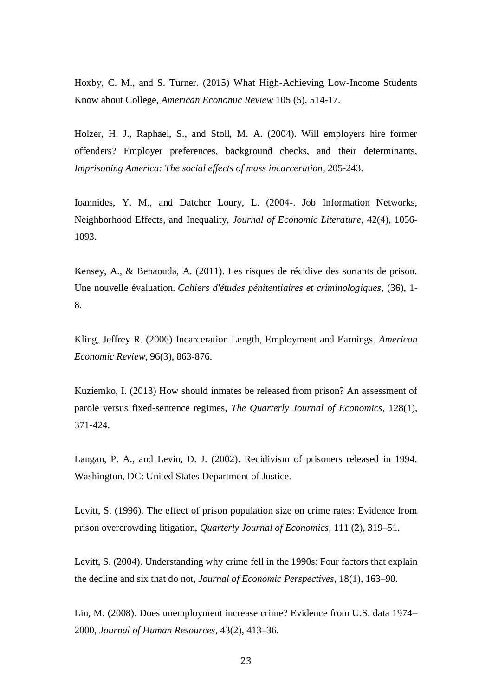Hoxby, C. M., and S. Turner. (2015) What High-Achieving Low-Income Students Know about College, *American Economic Review* 105 (5), 514-17.

Holzer, H. J., Raphael, S., and Stoll, M. A. (2004). Will employers hire former offenders? Employer preferences, background checks, and their determinants, *Imprisoning America: The social effects of mass incarceration*, 205-243.

Ioannides, Y. M., and Datcher Loury, L. (2004-. Job Information Networks, Neighborhood Effects, and Inequality, *Journal of Economic Literature*, 42(4), 1056- 1093.

Kensey, A., & Benaouda, A. (2011). Les risques de récidive des sortants de prison. Une nouvelle évaluation. *Cahiers d'études pénitentiaires et criminologiques*, (36), 1- 8.

Kling, Jeffrey R. (2006) Incarceration Length, Employment and Earnings. *American Economic Review*, 96(3), 863-876.

Kuziemko, I. (2013) How should inmates be released from prison? An assessment of parole versus fixed-sentence regimes, *The Quarterly Journal of Economics*, 128(1), 371-424.

Langan, P. A., and Levin, D. J. (2002). Recidivism of prisoners released in 1994. Washington, DC: United States Department of Justice.

Levitt, S. (1996). The effect of prison population size on crime rates: Evidence from prison overcrowding litigation, *Quarterly Journal of Economics*, 111 (2), 319–51.

Levitt, S. (2004). Understanding why crime fell in the 1990s: Four factors that explain the decline and six that do not, *Journal of Economic Perspectives*, 18(1), 163–90.

Lin, M. (2008). Does unemployment increase crime? Evidence from U.S. data 1974– 2000, *Journal of Human Resources*, 43(2), 413–36.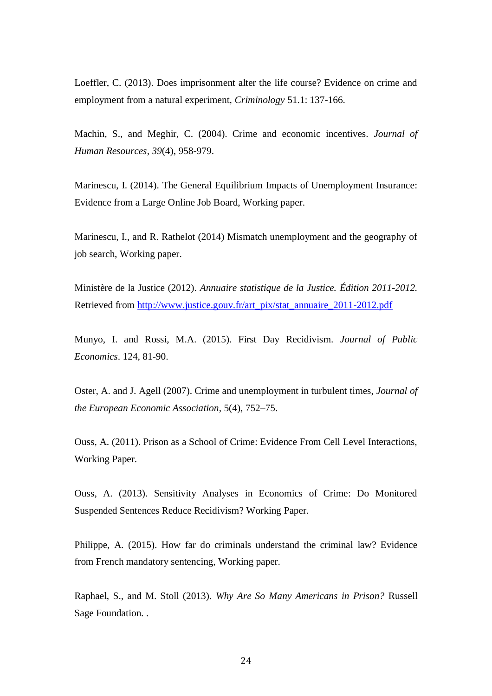Loeffler, C. (2013). Does imprisonment alter the life course? Evidence on crime and employment from a natural experiment, *Criminology* 51.1: 137-166.

Machin, S., and Meghir, C. (2004). Crime and economic incentives. *Journal of Human Resources*, *39*(4), 958-979.

Marinescu, I. (2014). The General Equilibrium Impacts of Unemployment Insurance: Evidence from a Large Online Job Board, Working paper.

Marinescu, I., and R. Rathelot (2014) Mismatch unemployment and the geography of job search, Working paper.

Ministère de la Justice (2012). *Annuaire statistique de la Justice. Édition 2011-2012.*  Retrieved from [http://www.justice.gouv.fr/art\\_pix/stat\\_annuaire\\_2011-2012.pdf](http://www.justice.gouv.fr/art_pix/stat_annuaire_2011-2012.pdf)

Munyo, I. and Rossi, M.A. (2015). First Day Recidivism. *Journal of Public Economics*. 124, 81-90.

Oster, A. and J. Agell (2007). Crime and unemployment in turbulent times, *Journal of the European Economic Association*, 5(4), 752–75.

Ouss, A. (2011). Prison as a School of Crime: Evidence From Cell Level Interactions, Working Paper.

Ouss, A. (2013). Sensitivity Analyses in Economics of Crime: Do Monitored Suspended Sentences Reduce Recidivism? Working Paper.

Philippe, A. (2015). How far do criminals understand the criminal law? Evidence from French mandatory sentencing, Working paper.

Raphael, S., and M. Stoll (2013). *Why Are So Many Americans in Prison?* Russell Sage Foundation. .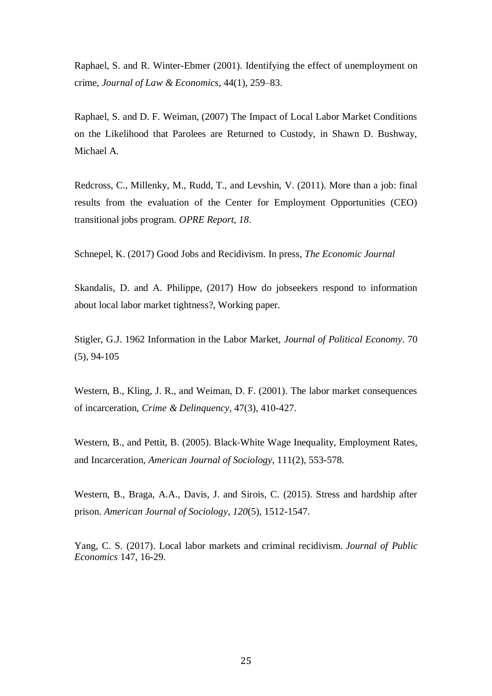Raphael, S. and R. Winter-Ebmer (2001). Identifying the effect of unemployment on crime, *Journal of Law & Economics*, 44(1), 259–83.

Raphael, S. and D. F. Weiman, (2007) The Impact of Local Labor Market Conditions on the Likelihood that Parolees are Returned to Custody, in Shawn D. Bushway, Michael A.

Redcross, C., Millenky, M., Rudd, T., and Levshin, V. (2011). More than a job: final results from the evaluation of the Center for Employment Opportunities (CEO) transitional jobs program. *OPRE Report*, *18*.

Schnepel, K. (2017) Good Jobs and Recidivism. In press, *The Economic Journal*

Skandalis, D. and A. Philippe, (2017) How do jobseekers respond to information about local labor market tightness?, Working paper.

Stigler, G.J. 1962 Information in the Labor Market, *Journal of Political Economy*. 70 (5), 94-105

Western, B., Kling, J. R., and Weiman, D. F. (2001). The labor market consequences of incarceration, *Crime & Delinquency*, 47(3), 410-427.

Western, B., and Pettit, B. (2005). Black‐White Wage Inequality, Employment Rates, and Incarceration, *American Journal of Sociology*, 111(2), 553-578.

Western, B., Braga, A.A., Davis, J. and Sirois, C. (2015). Stress and hardship after prison. *American Journal of Sociology*, *120*(5), 1512-1547.

Yang, C. S. (2017). Local labor markets and criminal recidivism. *Journal of Public Economics* 147, 16-29.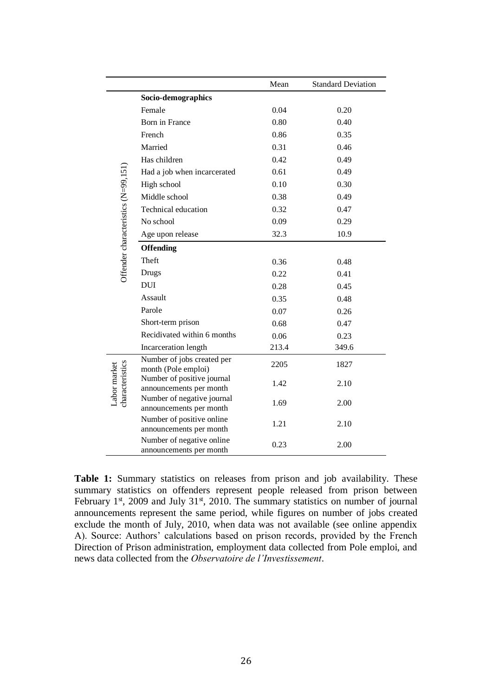|                                     |                                                       | Mean  | <b>Standard Deviation</b> |
|-------------------------------------|-------------------------------------------------------|-------|---------------------------|
|                                     | Socio-demographics                                    |       |                           |
|                                     | Female                                                | 0.04  | 0.20                      |
|                                     | <b>Born</b> in France                                 | 0.80  | 0.40                      |
|                                     | French                                                | 0.86  | 0.35                      |
|                                     | Married                                               | 0.31  | 0.46                      |
|                                     | Has children                                          | 0.42  | 0.49                      |
|                                     | Had a job when incarcerated                           | 0.61  | 0.49                      |
|                                     | High school                                           | 0.10  | 0.30                      |
|                                     | Middle school                                         | 0.38  | 0.49                      |
|                                     | Technical education                                   | 0.32  | 0.47                      |
|                                     | No school                                             | 0.09  | 0.29                      |
| Offender characteristics (N=99,151) | Age upon release                                      | 32.3  | 10.9                      |
|                                     | <b>Offending</b>                                      |       |                           |
|                                     | Theft                                                 | 0.36  | 0.48                      |
|                                     | Drugs                                                 | 0.22  | 0.41                      |
|                                     | <b>DUI</b>                                            | 0.28  | 0.45                      |
|                                     | Assault                                               | 0.35  | 0.48                      |
|                                     | Parole                                                | 0.07  | 0.26                      |
|                                     | Short-term prison                                     | 0.68  | 0.47                      |
|                                     | Recidivated within 6 months                           | 0.06  | 0.23                      |
|                                     | Incarceration length                                  | 213.4 | 349.6                     |
|                                     | Number of jobs created per<br>month (Pole emploi)     | 2205  | 1827                      |
| characteristics<br>Labor market     | Number of positive journal<br>announcements per month | 1.42  | 2.10                      |
|                                     | Number of negative journal<br>announcements per month | 1.69  | 2.00                      |
|                                     | Number of positive online<br>announcements per month  | 1.21  | 2.10                      |
|                                     | Number of negative online<br>announcements per month  | 0.23  | 2.00                      |

**Table 1:** Summary statistics on releases from prison and job availability. These summary statistics on offenders represent people released from prison between February  $1^{st}$ , 2009 and July  $31^{st}$ , 2010. The summary statistics on number of journal announcements represent the same period, while figures on number of jobs created exclude the month of July, 2010, when data was not available (see online appendix A). Source: Authors' calculations based on prison records, provided by the French Direction of Prison administration, employment data collected from Pole emploi, and news data collected from the *Observatoire de l'Investissement*.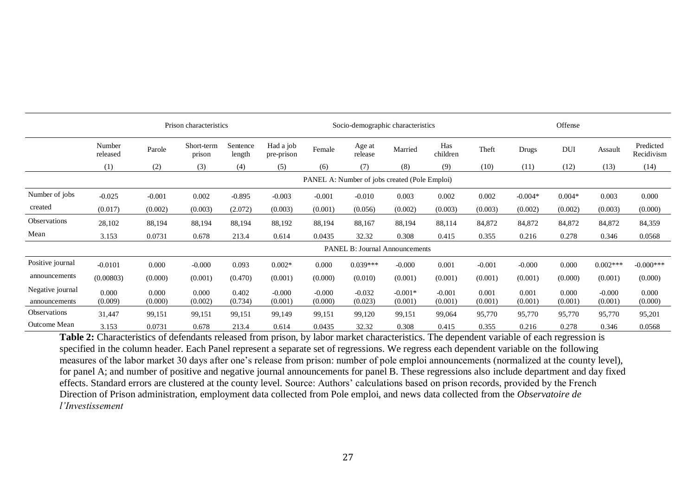|                                   | Prison characteristics                                                                                |                  |                  |                  |                     | Socio-demographic characteristics |                                               |                      |                     |                  | Offense          |                  |                     |                         |
|-----------------------------------|-------------------------------------------------------------------------------------------------------|------------------|------------------|------------------|---------------------|-----------------------------------|-----------------------------------------------|----------------------|---------------------|------------------|------------------|------------------|---------------------|-------------------------|
|                                   | Had a job<br>Number<br>Sentence<br>Short-term<br>Parole<br>released<br>length<br>prison<br>pre-prison |                  |                  |                  |                     | Female                            | Age at<br>release                             | Married              | Has<br>children     | Theft            | <b>Drugs</b>     | <b>DUI</b>       | Assault             | Predicted<br>Recidivism |
|                                   | (1)                                                                                                   | (2)              | (3)              | (4)              | (5)                 | (6)                               | (7)                                           | (8)                  | (9)                 | (10)             | (11)             | (12)             | (13)                | (14)                    |
|                                   |                                                                                                       |                  |                  |                  |                     |                                   | PANEL A: Number of jobs created (Pole Emploi) |                      |                     |                  |                  |                  |                     |                         |
| Number of jobs                    | $-0.025$                                                                                              | $-0.001$         | 0.002            | $-0.895$         | $-0.003$            | $-0.001$                          | $-0.010$                                      | 0.003                | 0.002               | 0.002            | $-0.004*$        | $0.004*$         | 0.003               | 0.000                   |
| created                           | (0.017)                                                                                               | (0.002)          | (0.003)          | (2.072)          | (0.003)             | (0.001)                           | (0.056)                                       | (0.002)              | (0.003)             | (0.003)          | (0.002)          | (0.002)          | (0.003)             | (0.000)                 |
| Observations                      | 28,102                                                                                                | 88,194           | 88,194           | 88,194           | 88,192              | 88,194                            | 88,167                                        | 88,194               | 88,114              | 84,872           | 84,872           | 84,872           | 84,872              | 84,359                  |
| Mean                              | 3.153                                                                                                 | 0.0731           | 0.678            | 213.4            | 0.614               | 0.0435                            | 32.32                                         | 0.308                | 0.415               | 0.355            | 0.216            | 0.278            | 0.346               | 0.0568                  |
|                                   |                                                                                                       |                  |                  |                  |                     |                                   | <b>PANEL B: Journal Announcements</b>         |                      |                     |                  |                  |                  |                     |                         |
| Positive journal                  | $-0.0101$                                                                                             | 0.000            | $-0.000$         | 0.093            | $0.002*$            | 0.000                             | $0.039***$                                    | $-0.000$             | 0.001               | $-0.001$         | $-0.000$         | 0.000            | $0.002***$          | $-0.000***$             |
| announcements                     | (0.00803)                                                                                             | (0.000)          | (0.001)          | (0.470)          | (0.001)             | (0.000)                           | (0.010)                                       | (0.001)              | (0.001)             | (0.001)          | (0.001)          | (0.000)          | (0.001)             | (0.000)                 |
| Negative journal<br>announcements | 0.000<br>(0.009)                                                                                      | 0.000<br>(0.000) | 0.000<br>(0.002) | 0.402<br>(0.734) | $-0.000$<br>(0.001) | $-0.000$<br>(0.000)               | $-0.032$<br>(0.023)                           | $-0.001*$<br>(0.001) | $-0.001$<br>(0.001) | 0.001<br>(0.001) | 0.001<br>(0.001) | 0.000<br>(0.001) | $-0.000$<br>(0.001) | 0.000<br>(0.000)        |
| <b>Observations</b>               | 31,447                                                                                                | 99,151           | 99,151           | 99,151           | 99,149              | 99,151                            | 99,120                                        | 99,151               | 99,064              | 95,770           | 95,770           | 95,770           | 95,770              | 95,201                  |
| <b>Outcome Mean</b>               | 3.153                                                                                                 | 0.0731           | 0.678            | 213.4            | 0.614               | 0.0435                            | 32.32                                         | 0.308                | 0.415               | 0.355            | 0.216            | 0.278            | 0.346               | 0.0568                  |

Table 2: Characteristics of defendants released from prison, by labor market characteristics. The dependent variable of each regression is specified in the column header. Each Panel represent a separate set of regressions. We regress each dependent variable on the following measures of the labor market 30 days after one's release from prison: number of pole emploi announcements (normalized at the county level), for panel A; and number of positive and negative journal announcements for panel B. These regressions also include department and day fixed effects. Standard errors are clustered at the county level. Source: Authors' calculations based on prison records, provided by the French Direction of Prison administration, employment data collected from Pole emploi, and news data collected from the *Observatoire de l'Investissement*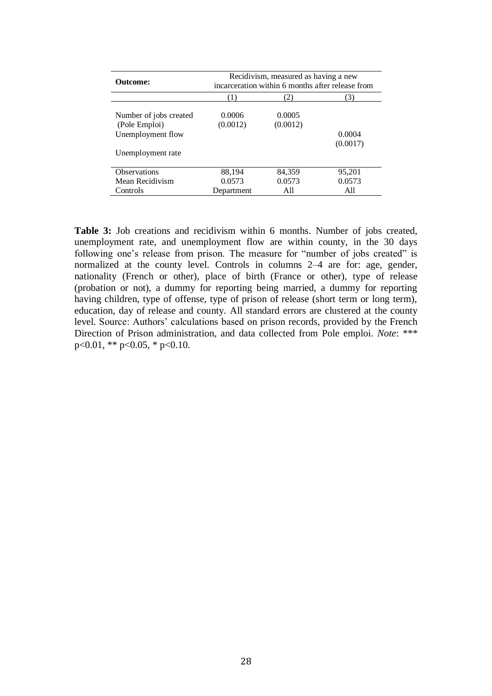| <b>Outcome:</b>                                              | Recidivism, measured as having a new<br>incarceration within 6 months after release from |                    |                    |  |  |  |
|--------------------------------------------------------------|------------------------------------------------------------------------------------------|--------------------|--------------------|--|--|--|
|                                                              |                                                                                          | 2)                 | 3)                 |  |  |  |
| Number of jobs created<br>(Pole Emploi)<br>Unemployment flow | 0.0006<br>(0.0012)                                                                       | 0.0005<br>(0.0012) | 0.0004<br>(0.0017) |  |  |  |
| Unemployment rate                                            |                                                                                          |                    |                    |  |  |  |
| <b>Observations</b>                                          | 88,194                                                                                   | 84,359             | 95,201             |  |  |  |
| Mean Recidivism                                              | 0.0573                                                                                   | 0.0573             | 0.0573             |  |  |  |
| Controls                                                     | Department                                                                               | All                | All                |  |  |  |

**Table 3:** Job creations and recidivism within 6 months. Number of jobs created, unemployment rate, and unemployment flow are within county, in the 30 days following one's release from prison. The measure for "number of jobs created" is normalized at the county level. Controls in columns 2–4 are for: age, gender, nationality (French or other), place of birth (France or other), type of release (probation or not), a dummy for reporting being married, a dummy for reporting having children, type of offense, type of prison of release (short term or long term), education, day of release and county. All standard errors are clustered at the county level. Source: Authors' calculations based on prison records, provided by the French Direction of Prison administration, and data collected from Pole emploi. *Note*: \*\*\* p<0.01, \*\* p<0.05, \* p<0.10.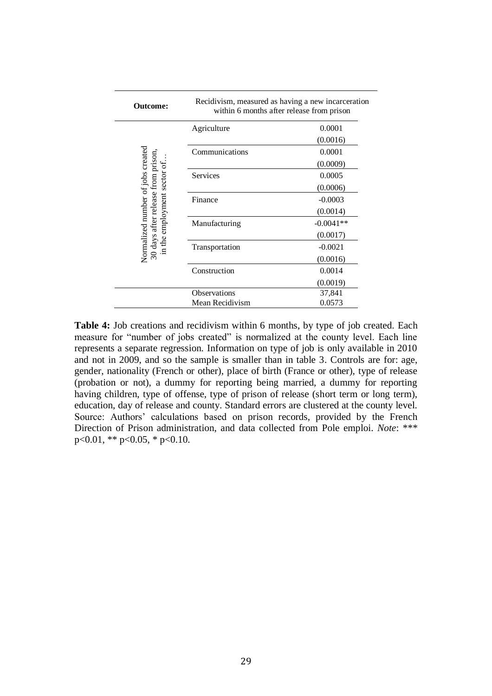| <b>Outcome:</b>                                                                                       | Recidivism, measured as having a new incarceration | within 6 months after release from prison |
|-------------------------------------------------------------------------------------------------------|----------------------------------------------------|-------------------------------------------|
|                                                                                                       | Agriculture                                        | 0.0001                                    |
|                                                                                                       |                                                    | (0.0016)                                  |
|                                                                                                       | Communications                                     | 0.0001                                    |
| Normalized number of jobs created<br>30 days after release from prison<br>in the employment sector of |                                                    | (0.0009)                                  |
|                                                                                                       | Services                                           | 0.0005                                    |
|                                                                                                       |                                                    | (0.0006)                                  |
|                                                                                                       | Finance                                            | $-0.0003$                                 |
|                                                                                                       |                                                    | (0.0014)                                  |
|                                                                                                       | Manufacturing                                      | $-0.0041**$                               |
|                                                                                                       |                                                    | (0.0017)                                  |
|                                                                                                       | Transportation                                     | $-0.0021$                                 |
|                                                                                                       |                                                    | (0.0016)                                  |
|                                                                                                       | Construction                                       | 0.0014                                    |
|                                                                                                       |                                                    | (0.0019)                                  |
|                                                                                                       | Observations                                       | 37,841                                    |
|                                                                                                       | Mean Recidivism                                    | 0.0573                                    |

**Table 4:** Job creations and recidivism within 6 months, by type of job created. Each measure for "number of jobs created" is normalized at the county level. Each line represents a separate regression. Information on type of job is only available in 2010 and not in 2009, and so the sample is smaller than in table 3. Controls are for: age, gender, nationality (French or other), place of birth (France or other), type of release (probation or not), a dummy for reporting being married, a dummy for reporting having children, type of offense, type of prison of release (short term or long term), education, day of release and county. Standard errors are clustered at the county level. Source: Authors' calculations based on prison records, provided by the French Direction of Prison administration, and data collected from Pole emploi. *Note*: \*\*\* p<0.01, \*\* p<0.05, \* p<0.10.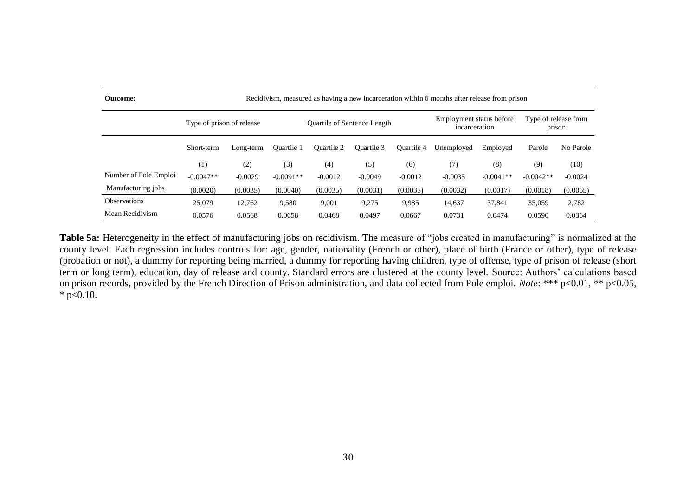| <b>Outcome:</b>       | Recidivism, measured as having a new incarceration within 6 months after release from prison |           |                                    |            |            |            |                                           |             |                                |           |
|-----------------------|----------------------------------------------------------------------------------------------|-----------|------------------------------------|------------|------------|------------|-------------------------------------------|-------------|--------------------------------|-----------|
|                       | Type of prison of release                                                                    |           | <b>Ouartile of Sentence Length</b> |            |            |            | Employment status before<br>incarceration |             | Type of release from<br>prison |           |
|                       | Short-term                                                                                   | Long-term | Ouartile 1                         | Ouartile 2 | Ouartile 3 | Ouartile 4 | Unemployed                                | Employed    | Parole                         | No Parole |
|                       | (1)                                                                                          | (2)       | (3)                                | (4)        | (5)        | (6)        | (7)                                       | (8)         | (9)                            | (10)      |
| Number of Pole Emploi | $-0.0047**$                                                                                  | $-0.0029$ | $-0.0091**$                        | $-0.0012$  | $-0.0049$  | $-0.0012$  | $-0.0035$                                 | $-0.0041**$ | $-0.0042**$                    | $-0.0024$ |
| Manufacturing jobs    | (0.0020)                                                                                     | (0.0035)  | (0.0040)                           | (0.0035)   | (0.0031)   | (0.0035)   | (0.0032)                                  | (0.0017)    | (0.0018)                       | (0.0065)  |
| <b>Observations</b>   | 25,079                                                                                       | 12,762    | 9,580                              | 9,001      | 9,275      | 9,985      | 14,637                                    | 37,841      | 35,059                         | 2,782     |
| Mean Recidivism       | 0.0576                                                                                       | 0.0568    | 0.0658                             | 0.0468     | 0.0497     | 0.0667     | 0.0731                                    | 0.0474      | 0.0590                         | 0.0364    |

Table 5a: Heterogeneity in the effect of manufacturing jobs on recidivism. The measure of "jobs created in manufacturing" is normalized at the county level. Each regression includes controls for: age, gender, nationality (French or other), place of birth (France or other), type of release (probation or not), a dummy for reporting being married, a dummy for reporting having children, type of offense, type of prison of release (short term or long term), education, day of release and county. Standard errors are clustered at the county level. Source: Authors' calculations based on prison records, provided by the French Direction of Prison administration, and data collected from Pole emploi. *Note*: \*\*\* p<0.01, \*\* p<0.05,  $*$  p<0.10.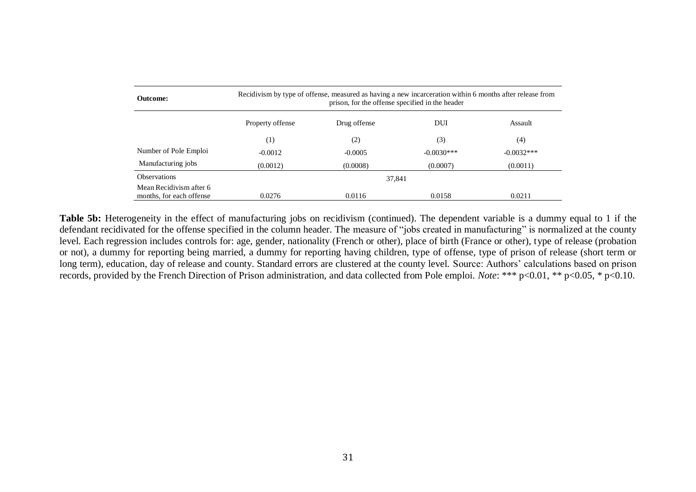| <b>Outcome:</b>                                     | Recidivism by type of offense, measured as having a new incarceration within 6 months after release from<br>prison, for the offense specified in the header |              |              |              |  |  |  |  |
|-----------------------------------------------------|-------------------------------------------------------------------------------------------------------------------------------------------------------------|--------------|--------------|--------------|--|--|--|--|
|                                                     | Property offense                                                                                                                                            | Drug offense | DUI          | Assault      |  |  |  |  |
|                                                     | (1)                                                                                                                                                         | (2)          | (3)          | (4)          |  |  |  |  |
| Number of Pole Emploi                               | $-0.0012$                                                                                                                                                   | $-0.0005$    | $-0.0030***$ | $-0.0032***$ |  |  |  |  |
| Manufacturing jobs                                  | (0.0012)                                                                                                                                                    | (0.0008)     | (0.0007)     | (0.0011)     |  |  |  |  |
| <b>Observations</b>                                 |                                                                                                                                                             | 37,841       |              |              |  |  |  |  |
| Mean Recidivism after 6<br>months, for each offense | 0.0276                                                                                                                                                      | 0.0116       | 0.0158       | 0.0211       |  |  |  |  |

Table 5b: Heterogeneity in the effect of manufacturing jobs on recidivism (continued). The dependent variable is a dummy equal to 1 if the defendant recidivated for the offense specified in the column header. The measure of "jobs created in manufacturing" is normalized at the county level. Each regression includes controls for: age, gender, nationality (French or other), place of birth (France or other), type of release (probation or not), a dummy for reporting being married, a dummy for reporting having children, type of offense, type of prison of release (short term or long term), education, day of release and county. Standard errors are clustered at the county level. Source: Authors' calculations based on prison records, provided by the French Direction of Prison administration, and data collected from Pole emploi. *Note*: \*\*\* p<0.01, \*\* p<0.05, \* p<0.10.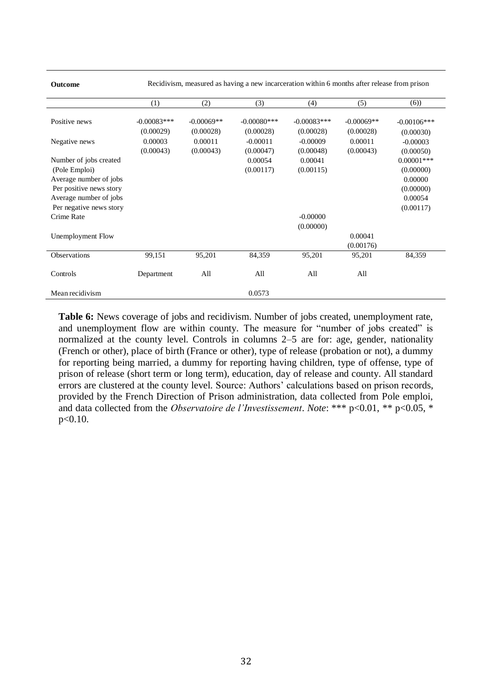|                         | (1)           | (2)          | (3)            | (4)           | (5)          | (6)            |
|-------------------------|---------------|--------------|----------------|---------------|--------------|----------------|
| Positive news           | $-0.00083***$ | $-0.00069**$ | $-0.00080$ *** | $-0.00083***$ | $-0.00069**$ | $-0.00106$ *** |
|                         | (0.00029)     | (0.00028)    | (0.00028)      | (0.00028)     | (0.00028)    | (0.00030)      |
| Negative news           | 0.00003       | 0.00011      | $-0.00011$     | $-0.00009$    | 0.00011      | $-0.00003$     |
|                         | (0.00043)     | (0.00043)    | (0.00047)      | (0.00048)     | (0.00043)    | (0.00050)      |
| Number of jobs created  |               |              | 0.00054        | 0.00041       |              | $0.00001$ ***  |
| (Pole Emploi)           |               |              | (0.00117)      | (0.00115)     |              | (0.00000)      |
| Average number of jobs  |               |              |                |               |              | 0.00000        |
| Per positive news story |               |              |                |               |              | (0.00000)      |
| Average number of jobs  |               |              |                |               |              | 0.00054        |
| Per negative news story |               |              |                |               |              | (0.00117)      |
| Crime Rate              |               |              |                | $-0.00000$    |              |                |
|                         |               |              |                | (0.00000)     |              |                |
| Unemployment Flow       |               |              |                |               | 0.00041      |                |
|                         |               |              |                |               | (0.00176)    |                |
| Observations            | 99,151        | 95,201       | 84,359         | 95,201        | 95,201       | 84,359         |
| Controls                | Department    | All          | All            | All           | All          |                |
| Mean recidivism         |               |              | 0.0573         |               |              |                |

**Outcome** Recidivism, measured as having a new incarceration within 6 months after release from prison

**Table 6:** News coverage of jobs and recidivism. Number of jobs created, unemployment rate, and unemployment flow are within county. The measure for "number of jobs created" is normalized at the county level. Controls in columns 2–5 are for: age, gender, nationality (French or other), place of birth (France or other), type of release (probation or not), a dummy for reporting being married, a dummy for reporting having children, type of offense, type of prison of release (short term or long term), education, day of release and county. All standard errors are clustered at the county level. Source: Authors' calculations based on prison records, provided by the French Direction of Prison administration, data collected from Pole emploi, and data collected from the *Observatoire de l'Investissement*. *Note*: \*\*\* p<0.01, \*\* p<0.05, \* p<0.10.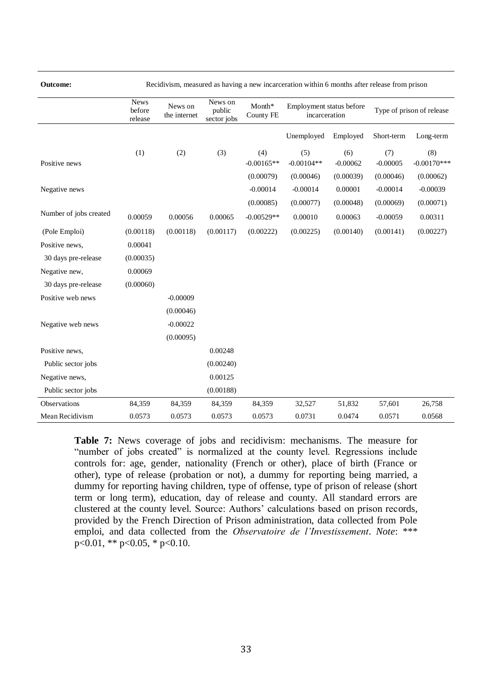**Outcome:** Recidivism, measured as having a new incarceration within 6 months after release from prison

|                        | <b>News</b><br>before<br>release | News on<br>the internet | News on<br>public<br>sector jobs | Month*<br>County FE              | Employment status before<br>incarceration |                                | Type of prison of release      |                                   |
|------------------------|----------------------------------|-------------------------|----------------------------------|----------------------------------|-------------------------------------------|--------------------------------|--------------------------------|-----------------------------------|
|                        |                                  |                         |                                  |                                  | Unemployed                                | Employed                       | Short-term                     | Long-term                         |
| Positive news          | (1)                              | (2)                     | (3)                              | (4)<br>$-0.00165**$<br>(0.00079) | (5)<br>$-0.00104**$<br>(0.00046)          | (6)<br>$-0.00062$<br>(0.00039) | (7)<br>$-0.00005$<br>(0.00046) | (8)<br>$-0.00170***$<br>(0.00062) |
| Negative news          |                                  |                         |                                  | $-0.00014$<br>(0.00085)          | $-0.00014$<br>(0.00077)                   | 0.00001<br>(0.00048)           | $-0.00014$<br>(0.00069)        | $-0.00039$<br>(0.00071)           |
| Number of jobs created | 0.00059                          | 0.00056                 | 0.00065                          | $-0.00529**$                     | 0.00010                                   | 0.00063                        | $-0.00059$                     | 0.00311                           |
| (Pole Emploi)          | (0.00118)                        | (0.00118)               | (0.00117)                        | (0.00222)                        | (0.00225)                                 | (0.00140)                      | (0.00141)                      | (0.00227)                         |
| Positive news.         | 0.00041                          |                         |                                  |                                  |                                           |                                |                                |                                   |
| 30 days pre-release    | (0.00035)                        |                         |                                  |                                  |                                           |                                |                                |                                   |
| Negative new,          | 0.00069                          |                         |                                  |                                  |                                           |                                |                                |                                   |
| 30 days pre-release    | (0.00060)                        |                         |                                  |                                  |                                           |                                |                                |                                   |
| Positive web news      |                                  | $-0.00009$              |                                  |                                  |                                           |                                |                                |                                   |
|                        |                                  | (0.00046)               |                                  |                                  |                                           |                                |                                |                                   |
| Negative web news      |                                  | $-0.00022$              |                                  |                                  |                                           |                                |                                |                                   |
|                        |                                  | (0.00095)               |                                  |                                  |                                           |                                |                                |                                   |
| Positive news.         |                                  |                         | 0.00248                          |                                  |                                           |                                |                                |                                   |
| Public sector jobs     |                                  |                         | (0.00240)                        |                                  |                                           |                                |                                |                                   |
| Negative news,         |                                  |                         | 0.00125                          |                                  |                                           |                                |                                |                                   |
| Public sector jobs     |                                  |                         | (0.00188)                        |                                  |                                           |                                |                                |                                   |
| Observations           | 84,359                           | 84,359                  | 84,359                           | 84,359                           | 32,527                                    | 51,832                         | 57,601                         | 26,758                            |
| Mean Recidivism        | 0.0573                           | 0.0573                  | 0.0573                           | 0.0573                           | 0.0731                                    | 0.0474                         | 0.0571                         | 0.0568                            |

**Table 7:** News coverage of jobs and recidivism: mechanisms. The measure for "number of jobs created" is normalized at the county level. Regressions include controls for: age, gender, nationality (French or other), place of birth (France or other), type of release (probation or not), a dummy for reporting being married, a dummy for reporting having children, type of offense, type of prison of release (short term or long term), education, day of release and county. All standard errors are clustered at the county level. Source: Authors' calculations based on prison records, provided by the French Direction of Prison administration, data collected from Pole emploi, and data collected from the *Observatoire de l'Investissement*. *Note*: \*\*\* p<0.01, \*\* p<0.05, \* p<0.10.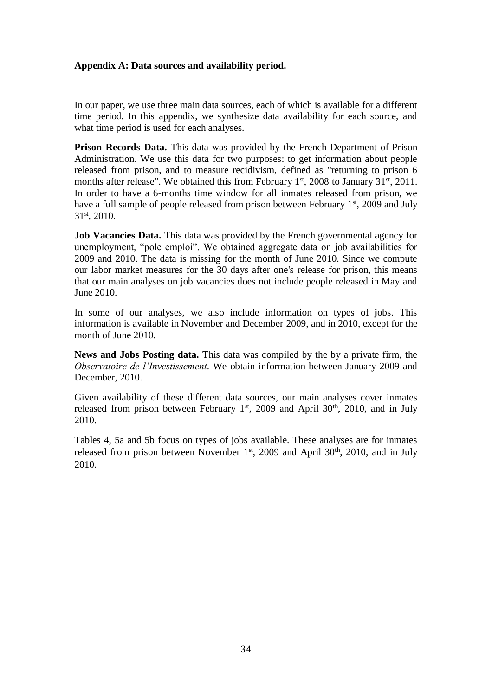# **Appendix A: Data sources and availability period.**

In our paper, we use three main data sources, each of which is available for a different time period. In this appendix, we synthesize data availability for each source, and what time period is used for each analyses.

**Prison Records Data.** This data was provided by the French Department of Prison Administration. We use this data for two purposes: to get information about people released from prison, and to measure recidivism, defined as "returning to prison 6 months after release". We obtained this from February  $1<sup>st</sup>$ , 2008 to January 31 $<sup>st</sup>$ , 2011.</sup> In order to have a 6-months time window for all inmates released from prison, we have a full sample of people released from prison between February 1<sup>st</sup>, 2009 and July 31st, 2010.

**Job Vacancies Data.** This data was provided by the French governmental agency for unemployment, "pole emploi". We obtained aggregate data on job availabilities for 2009 and 2010. The data is missing for the month of June 2010. Since we compute our labor market measures for the 30 days after one's release for prison, this means that our main analyses on job vacancies does not include people released in May and June 2010.

In some of our analyses, we also include information on types of jobs. This information is available in November and December 2009, and in 2010, except for the month of June 2010.

**News and Jobs Posting data.** This data was compiled by the by a private firm, the *Observatoire de l'Investissement*. We obtain information between January 2009 and December, 2010.

Given availability of these different data sources, our main analyses cover inmates released from prison between February 1<sup>st</sup>, 2009 and April 30<sup>th</sup>, 2010, and in July 2010.

Tables 4, 5a and 5b focus on types of jobs available. These analyses are for inmates released from prison between November  $1<sup>st</sup>$ , 2009 and April 30<sup>th</sup>, 2010, and in July 2010.